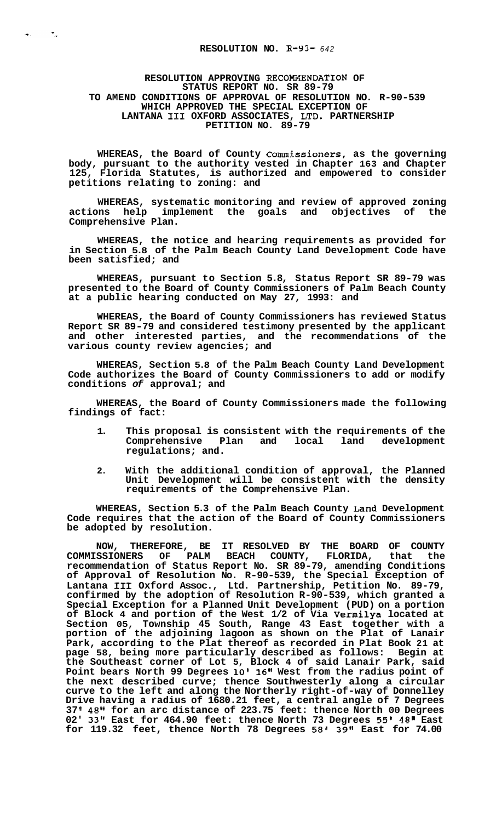## RESOLUTION APPROVING RECOMMENDATION OF **STATUS REPORT NO. SR 89-79 TO AMEND CONDITIONS OF APPROVAL OF RESOLUTION NO. R-90-539 WHICH APPROVED THE SPECIAL EXCEPTION OF LANTANA I11 OXFORD ASSOCIATES, LTD. PARTNERSHIP PETITION NO. 89-79**

 $\mathcal{L}$ 

 $\mathbf{w}_1$ 

**WHEREAS, the Board of County Commissioners, as the governing body, pursuant to the authority vested in Chapter 163 and Chapter 125, Florida Statutes, is authorized and empowered to consider petitions relating to zoning: and** 

**WHEREAS, systematic monitoring and review of approved zoning actions help implement the goals and objectives of the Comprehensive Plan.** 

**WHEREAS, the notice and hearing requirements as provided for in Section 5.8 of the Palm Beach County Land Development Code have been satisfied; and** 

**WHEREAS, pursuant to Section 5.8, Status Report SR 89-79 was presented to the Board of County Commissioners of Palm Beach County at a public hearing conducted on May 27, 1993: and** 

**WHEREAS, the Board of County Commissioners has reviewed Status Report SR 89-79 and considered testimony presented by the applicant and other interested parties, and the recommendations of the various county review agencies; and** 

**WHEREAS, Section 5.8 of the Palm Beach County Land Development Code authorizes the Board of County Commissioners to add or modify conditions** *of* **approval; and** 

**WHEREAS, the Board of County Commissioners made the following findings of fact:** 

- **1. This proposal is consistent with the requirements of the**  Comprehensive Plan and local land **regulations; and.**
- **2. With the additional condition of approval, the Planned Unit Development will be consistent with the density requirements of the Comprehensive Plan.**

**WHEREAS, Section 5.3 of the Palm Beach County Land Development Code requires that the action of the Board of County Commissioners be adopted by resolution.** 

**NOW, THEREFORE, BE IT RESOLVED BY THE BOARD OF COUNTY COMMISSIONERS OF PALM BEACH COUNTY, FLORIDA, that the recommendation of Status Report No. SR 89-79, amending Conditions of Approval of Resolution No. R-90-539, the Special Exception of Lantana I11 Oxford ASSOC., Ltd. Partnership, Petition No. 89-79, confirmed by the adoption of Resolution R-90-539, which granted a Special Exception for a Planned Unit Development (PUD) on a portion of Block 4 and portion of the West 1/2 of Via Vermilya located at Section 05, Township 45 South, Range 43 East together with a portion of the adjoining lagoon as shown on the Plat of Lanair Park, according to the Plat thereof as recorded in Plat Book 21 at page 58, being more particularly described as follows: Begin at the Southeast corner of Lot 5, Block 4 of said Lanair Park, said**  Point bears North 99 Degrees 10' 16" West from the radius point of **the next described curve; thence Southwesterly along a circular curve to the left and along the Northerly right-of-way of Donnelley Drive having a radius of 1680.21 feet, a central angle of 7 Degrees 37 48" for an arc distance of 223.75 feet: thence North 00 Degrees 02' 33" East for 464.90 feet: thence North 73 Degrees 55' 48" East for 119.32 feet, thence North 78 Degrees** *58'* **39" East for 74.00**